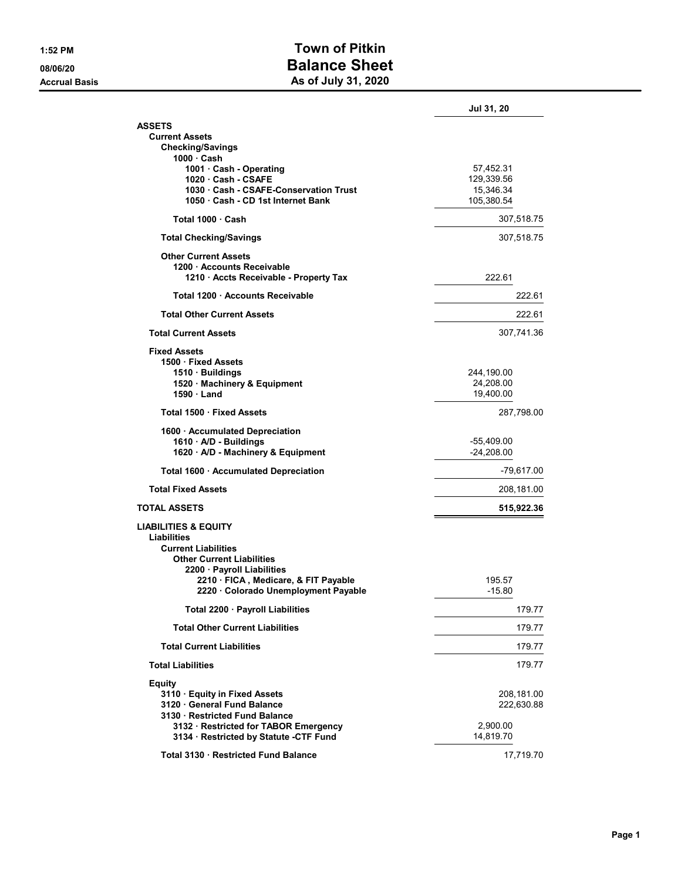## 1:52 PM Town of Pitkin 08/06/20 **Balance Sheet** Accrual Basis **Accrual Basis** As of July 31, 2020

|                                                                         | Jul 31, 20              |
|-------------------------------------------------------------------------|-------------------------|
| <b>ASSETS</b>                                                           |                         |
| <b>Current Assets</b>                                                   |                         |
| <b>Checking/Savings</b><br>1000 · Cash                                  |                         |
| 1001 · Cash - Operating                                                 | 57,452.31               |
| 1020 Cash - CSAFE                                                       | 129,339.56              |
| 1030 Cash - CSAFE-Conservation Trust                                    | 15,346.34               |
| 1050 Cash - CD 1st Internet Bank                                        | 105,380.54              |
| Total 1000 · Cash                                                       | 307,518.75              |
| <b>Total Checking/Savings</b>                                           | 307,518.75              |
| <b>Other Current Assets</b>                                             |                         |
| 1200 - Accounts Receivable                                              |                         |
| 1210 · Accts Receivable - Property Tax                                  | 222.61                  |
| Total 1200 Accounts Receivable                                          | 222.61                  |
| <b>Total Other Current Assets</b>                                       | 222.61                  |
| <b>Total Current Assets</b>                                             | 307,741.36              |
| <b>Fixed Assets</b>                                                     |                         |
| 1500 · Fixed Assets                                                     |                         |
| 1510 · Buildings<br>1520 · Machinery & Equipment                        | 244,190.00<br>24,208.00 |
| 1590 Land                                                               | 19,400.00               |
| Total 1500 Fixed Assets                                                 | 287,798.00              |
| 1600 · Accumulated Depreciation                                         |                         |
| 1610 · A/D - Buildings                                                  | $-55,409.00$            |
| 1620 · A/D - Machinery & Equipment                                      | $-24,208.00$            |
| Total 1600 · Accumulated Depreciation                                   | $-79,617.00$            |
| <b>Total Fixed Assets</b>                                               | 208,181.00              |
| <b>TOTAL ASSETS</b>                                                     | 515,922.36              |
| <b>LIABILITIES &amp; EQUITY</b>                                         |                         |
| Liabilities                                                             |                         |
| <b>Current Liabilities</b><br><b>Other Current Liabilities</b>          |                         |
| 2200 · Payroll Liabilities                                              |                         |
| 2210 · FICA, Medicare, & FIT Payable                                    | 195.57                  |
| 2220 · Colorado Unemployment Payable                                    | $-15.80$                |
| Total 2200 · Payroll Liabilities                                        | 179.77                  |
| <b>Total Other Current Liabilities</b>                                  | 179.77                  |
| <b>Total Current Liabilities</b>                                        | 179.77                  |
| <b>Total Liabilities</b>                                                | 179.77                  |
| <b>Equity</b>                                                           |                         |
| 3110 · Equity in Fixed Assets                                           | 208,181.00              |
| 3120 General Fund Balance                                               | 222,630.88              |
| 3130 · Restricted Fund Balance<br>3132 · Restricted for TABOR Emergency | 2,900.00                |
| 3134 · Restricted by Statute -CTF Fund                                  | 14,819.70               |
| Total 3130 Restricted Fund Balance                                      |                         |
|                                                                         | 17,719.70               |